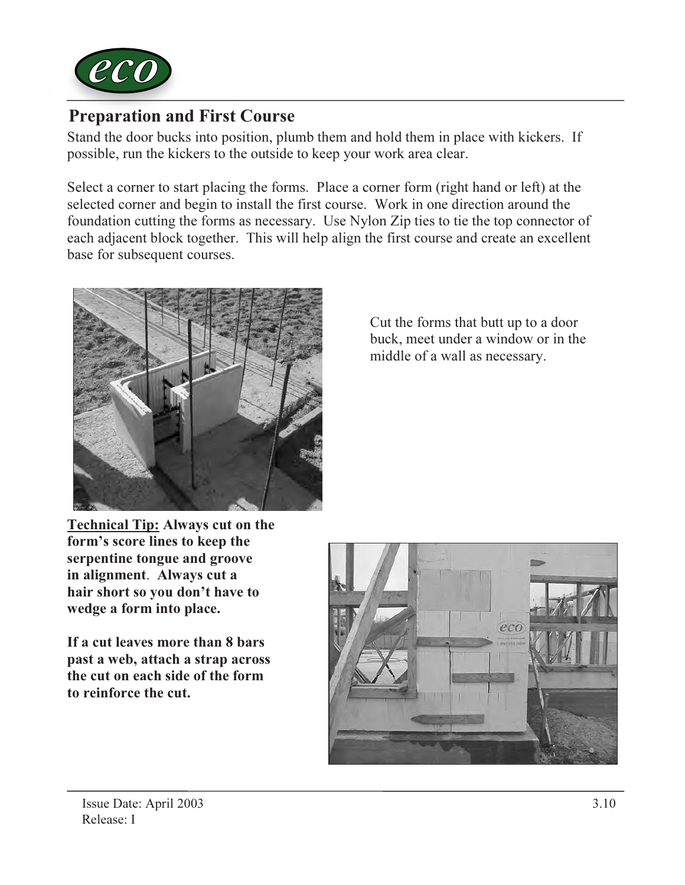

## Preparation and First Course

Stand the door bucks into position, plumb them and hold them in place with kickers. If possible, run the kickers to the outside to keep your work area clear.

Select a corner to start placing the forms. Place a corner form (right hand or left) at the selected corner and begin to install the first course. Work in one direction around the foundation cutting the forms as necessary. Use Nylon Zip ties to tie the top connector of each adjacent block together. This will help align the first course and create an excellent base for subsequent courses.



Cut the forms that butt up to a door buck, meet under a window or in the middle of a wall as necessary.

Technical Tip: Always cut on the form's score lines to keep the serpentine tongue and groove in alignment. Always cut a hair short so you don't have to wedge a form into place.

If a cut leaves more than 8 bars past a web, attach a strap across the cut on each side of the form to reinforce the cut.

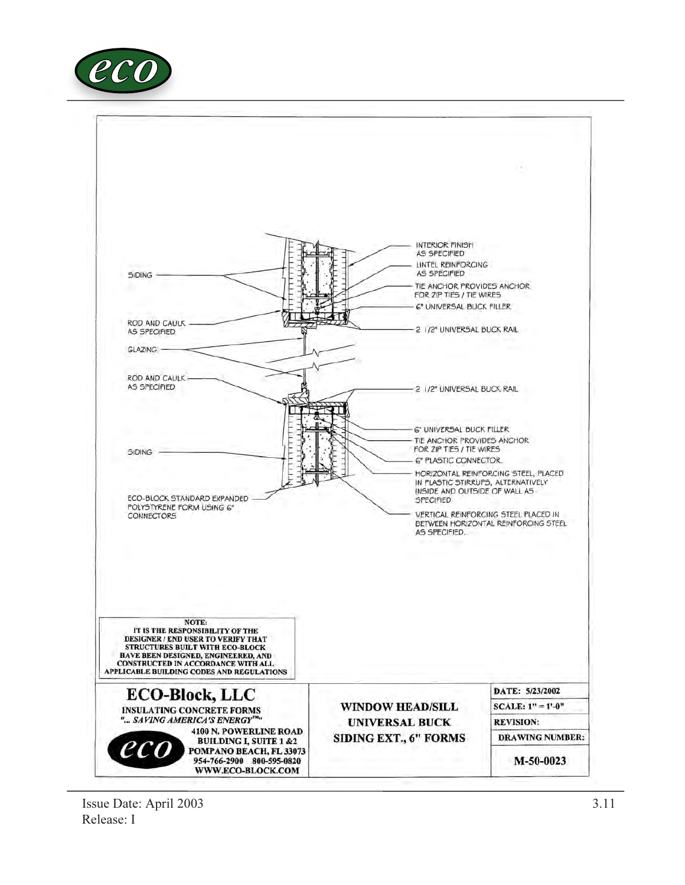